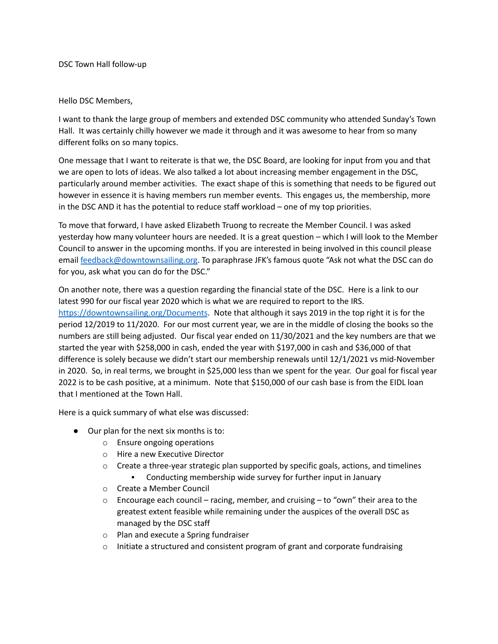DSC Town Hall follow-up

## Hello DSC Members,

I want to thank the large group of members and extended DSC community who attended Sunday's Town Hall. It was certainly chilly however we made it through and it was awesome to hear from so many different folks on so many topics.

One message that I want to reiterate is that we, the DSC Board, are looking for input from you and that we are open to lots of ideas. We also talked a lot about increasing member engagement in the DSC, particularly around member activities. The exact shape of this is something that needs to be figured out however in essence it is having members run member events. This engages us, the membership, more in the DSC AND it has the potential to reduce staff workload – one of my top priorities.

To move that forward, I have asked Elizabeth Truong to recreate the Member Council. I was asked yesterday how many volunteer hours are needed. It is a great question – which I will look to the Member Council to answer in the upcoming months. If you are interested in being involved in this council please email [feedback@downtownsailing.org.](mailto:feedback@downtownsailing.org) To paraphrase JFK's famous quote "Ask not what the DSC can do for you, ask what you can do for the DSC."

On another note, there was a question regarding the financial state of the DSC. Here is a link to our latest 990 for our fiscal year 2020 which is what we are required to report to the IRS. <https://downtownsailing.org/Documents>. Note that although it says 2019 in the top right it is for the period 12/2019 to 11/2020. For our most current year, we are in the middle of closing the books so the numbers are still being adjusted. Our fiscal year ended on 11/30/2021 and the key numbers are that we started the year with \$258,000 in cash, ended the year with \$197,000 in cash and \$36,000 of that difference is solely because we didn't start our membership renewals until 12/1/2021 vs mid-November in 2020. So, in real terms, we brought in \$25,000 less than we spent for the year. Our goal for fiscal year 2022 is to be cash positive, at a minimum. Note that \$150,000 of our cash base is from the EIDL loan that I mentioned at the Town Hall.

Here is a quick summary of what else was discussed:

- Our plan for the next six months is to:
	- o Ensure ongoing operations
	- o Hire a new Executive Director
	- $\circ$  Create a three-year strategic plan supported by specific goals, actions, and timelines
		- Conducting membership wide survey for further input in January
	- o Create a Member Council
	- $\circ$  Encourage each council racing, member, and cruising to "own" their area to the greatest extent feasible while remaining under the auspices of the overall DSC as managed by the DSC staff
	- o Plan and execute a Spring fundraiser
	- $\circ$  Initiate a structured and consistent program of grant and corporate fundraising